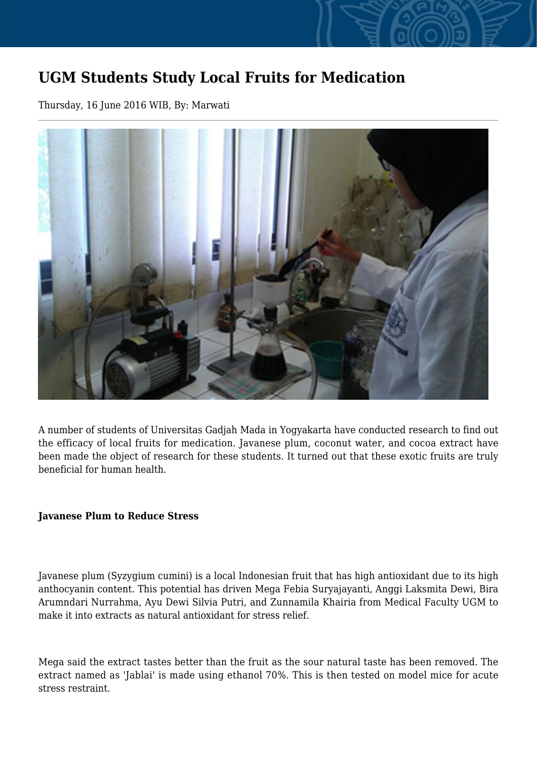## **UGM Students Study Local Fruits for Medication**

Thursday, 16 June 2016 WIB, By: Marwati



A number of students of Universitas Gadjah Mada in Yogyakarta have conducted research to find out the efficacy of local fruits for medication. Javanese plum, coconut water, and cocoa extract have been made the object of research for these students. It turned out that these exotic fruits are truly beneficial for human health.

## **Javanese Plum to Reduce Stress**

Javanese plum (Syzygium cumini) is a local Indonesian fruit that has high antioxidant due to its high anthocyanin content. This potential has driven Mega Febia Suryajayanti, Anggi Laksmita Dewi, Bira Arumndari Nurrahma, Ayu Dewi Silvia Putri, and Zunnamila Khairia from Medical Faculty UGM to make it into extracts as natural antioxidant for stress relief.

Mega said the extract tastes better than the fruit as the sour natural taste has been removed. The extract named as 'Jablai' is made using ethanol 70%. This is then tested on model mice for acute stress restraint.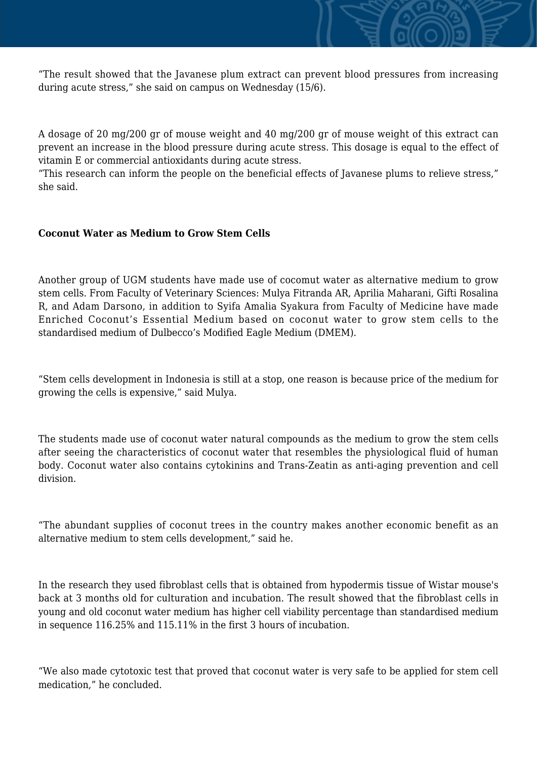"The result showed that the Javanese plum extract can prevent blood pressures from increasing during acute stress," she said on campus on Wednesday (15/6).

A dosage of 20 mg/200 gr of mouse weight and 40 mg/200 gr of mouse weight of this extract can prevent an increase in the blood pressure during acute stress. This dosage is equal to the effect of vitamin E or commercial antioxidants during acute stress.

"This research can inform the people on the beneficial effects of Javanese plums to relieve stress," she said.

## **Coconut Water as Medium to Grow Stem Cells**

Another group of UGM students have made use of cocomut water as alternative medium to grow stem cells. From Faculty of Veterinary Sciences: Mulya Fitranda AR, Aprilia Maharani, Gifti Rosalina R, and Adam Darsono, in addition to Syifa Amalia Syakura from Faculty of Medicine have made Enriched Coconut's Essential Medium based on coconut water to grow stem cells to the standardised medium of Dulbecco's Modified Eagle Medium (DMEM).

"Stem cells development in Indonesia is still at a stop, one reason is because price of the medium for growing the cells is expensive," said Mulya.

The students made use of coconut water natural compounds as the medium to grow the stem cells after seeing the characteristics of coconut water that resembles the physiological fluid of human body. Coconut water also contains cytokinins and Trans-Zeatin as anti-aging prevention and cell division.

"The abundant supplies of coconut trees in the country makes another economic benefit as an alternative medium to stem cells development," said he.

In the research they used fibroblast cells that is obtained from hypodermis tissue of Wistar mouse's back at 3 months old for culturation and incubation. The result showed that the fibroblast cells in young and old coconut water medium has higher cell viability percentage than standardised medium in sequence 116.25% and 115.11% in the first 3 hours of incubation.

"We also made cytotoxic test that proved that coconut water is very safe to be applied for stem cell medication," he concluded.